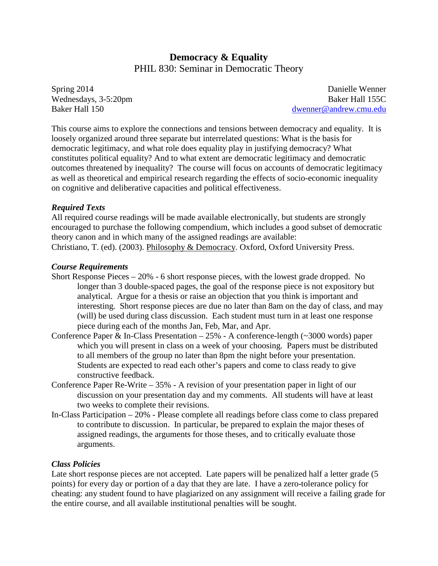# **Democracy & Equality** PHIL 830: Seminar in Democratic Theory

Spring 2014 Wednesdays, 3-5:20pm Baker Hall 150

Danielle Wenner Baker Hall 155C [dwenner@andrew.cmu.edu](mailto:dwenner@andrew.cmu.edu)

This course aims to explore the connections and tensions between democracy and equality. It is loosely organized around three separate but interrelated questions: What is the basis for democratic legitimacy, and what role does equality play in justifying democracy? What constitutes political equality? And to what extent are democratic legitimacy and democratic outcomes threatened by inequality? The course will focus on accounts of democratic legitimacy as well as theoretical and empirical research regarding the effects of socio-economic inequality on cognitive and deliberative capacities and political effectiveness.

#### *Required Texts*

All required course readings will be made available electronically, but students are strongly encouraged to purchase the following compendium, which includes a good subset of democratic theory canon and in which many of the assigned readings are available: Christiano, T. (ed). (2003). Philosophy & Democracy. Oxford, Oxford University Press.

#### *Course Requirements*

- Short Response Pieces 20% 6 short response pieces, with the lowest grade dropped. No longer than 3 double-spaced pages, the goal of the response piece is not expository but analytical. Argue for a thesis or raise an objection that you think is important and interesting. Short response pieces are due no later than 8am on the day of class, and may (will) be used during class discussion. Each student must turn in at least one response piece during each of the months Jan, Feb, Mar, and Apr.
- Conference Paper & In-Class Presentation  $-25%$  A conference-length ( $\sim$ 3000 words) paper which you will present in class on a week of your choosing. Papers must be distributed to all members of the group no later than 8pm the night before your presentation. Students are expected to read each other's papers and come to class ready to give constructive feedback.
- Conference Paper Re-Write 35% A revision of your presentation paper in light of our discussion on your presentation day and my comments. All students will have at least two weeks to complete their revisions.
- In-Class Participation 20% Please complete all readings before class come to class prepared to contribute to discussion. In particular, be prepared to explain the major theses of assigned readings, the arguments for those theses, and to critically evaluate those arguments.

#### *Class Policies*

Late short response pieces are not accepted. Late papers will be penalized half a letter grade (5) points) for every day or portion of a day that they are late. I have a zero-tolerance policy for cheating: any student found to have plagiarized on any assignment will receive a failing grade for the entire course, and all available institutional penalties will be sought.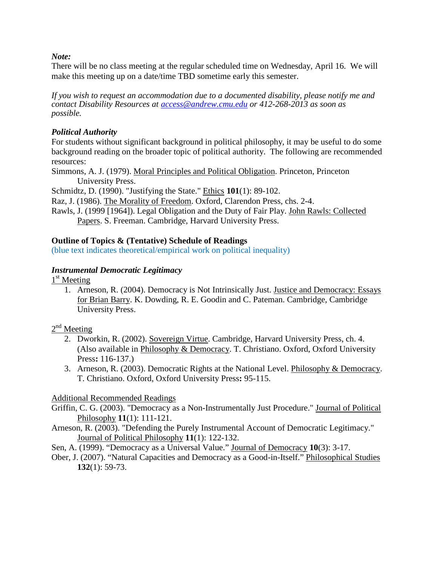*Note:*

There will be no class meeting at the regular scheduled time on Wednesday, April 16. We will make this meeting up on a date/time TBD sometime early this semester.

*If you wish to request an accommodation due to a documented disability, please notify me and contact Disability Resources at [access@andrew.cmu.edu](mailto:access@andrew.cmu.edu) or 412-268-2013 as soon as possible.*

### *Political Authority*

For students without significant background in political philosophy, it may be useful to do some background reading on the broader topic of political authority. The following are recommended resources:

Simmons, A. J. (1979). Moral Principles and Political Obligation. Princeton, Princeton University Press.

Schmidtz, D. (1990). "Justifying the State." Ethics **101**(1): 89-102.

Raz, J. (1986). The Morality of Freedom. Oxford, Clarendon Press, chs. 2-4.

Rawls, J. (1999 [1964]). Legal Obligation and the Duty of Fair Play. John Rawls: Collected Papers. S. Freeman. Cambridge, Harvard University Press.

### **Outline of Topics & (Tentative) Schedule of Readings**

(blue text indicates theoretical/empirical work on political inequality)

### *Instrumental Democratic Legitimacy*

1<sup>st</sup> Meeting

1. Arneson, R. (2004). Democracy is Not Intrinsically Just. Justice and Democracy: Essays for Brian Barry. K. Dowding, R. E. Goodin and C. Pateman. Cambridge, Cambridge University Press.

 $2<sup>nd</sup>$  Meeting

- 2. Dworkin, R. (2002). Sovereign Virtue. Cambridge, Harvard University Press, ch. 4. (Also available in Philosophy & Democracy. T. Christiano. Oxford, Oxford University Press**:** 116-137.)
- 3. Arneson, R. (2003). Democratic Rights at the National Level. Philosophy & Democracy. T. Christiano. Oxford, Oxford University Press**:** 95-115.

## Additional Recommended Readings

- Griffin, C. G. (2003). "Democracy as a Non-Instrumentally Just Procedure." Journal of Political Philosophy **11**(1): 111-121.
- Arneson, R. (2003). "Defending the Purely Instrumental Account of Democratic Legitimacy." Journal of Political Philosophy **11**(1): 122-132.
- Sen, A. (1999). "Democracy as a Universal Value." Journal of Democracy **10**(3): 3-17.
- Ober, J. (2007). "Natural Capacities and Democracy as a Good-in-Itself." Philosophical Studies **132**(1): 59-73.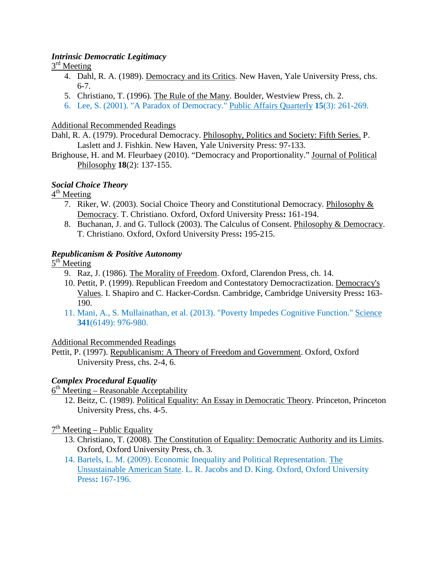### *Intrinsic Democratic Legitimacy*

### $3<sup>rd</sup>$  Meeting

- 4. Dahl, R. A. (1989). Democracy and its Critics. New Haven, Yale University Press, chs. 6-7.
- 5. Christiano, T. (1996). The Rule of the Many. Boulder, Westview Press, ch. 2.
- 6. Lee, S. (2001). "A Paradox of Democracy." Public Affairs Quarterly **15**(3): 261-269.

### Additional Recommended Readings

Dahl, R. A. (1979). Procedural Democracy. Philosophy, Politics and Society: Fifth Series. P. Laslett and J. Fishkin. New Haven, Yale University Press: 97-133.

Brighouse, H. and M. Fleurbaey (2010). "Democracy and Proportionality." Journal of Political Philosophy **18**(2): 137-155.

## *Social Choice Theory*

 $4<sup>th</sup>$  Meeting

- 7. Riker, W. (2003). Social Choice Theory and Constitutional Democracy. Philosophy & Democracy. T. Christiano. Oxford, Oxford University Press**:** 161-194.
- 8. Buchanan, J. and G. Tullock (2003). The Calculus of Consent. Philosophy & Democracy. T. Christiano. Oxford, Oxford University Press**:** 195-215.

### *Republicanism & Positive Autonomy*

 $5<sup>th</sup>$  Meeting

- 9. Raz, J. (1986). The Morality of Freedom. Oxford, Clarendon Press, ch. 14.
- 10. Pettit, P. (1999). Republican Freedom and Contestatory Democractization. Democracy's Values. I. Shapiro and C. Hacker-Cordsn. Cambridge, Cambridge University Press**:** 163- 190.
- 11. Mani, A., S. Mullainathan, et al. (2013). "Poverty Impedes Cognitive Function." Science **341**(6149): 976-980.

### Additional Recommended Readings

Pettit, P. (1997). Republicanism: A Theory of Freedom and Government. Oxford, Oxford University Press, chs. 2-4, 6.

## *Complex Procedural Equality*

 $6<sup>th</sup> Meeting – Reasonable Acceptability$ 

12. Beitz, C. (1989). Political Equality: An Essay in Democratic Theory. Princeton, Princeton University Press, chs. 4-5.

### $7<sup>th</sup> Meeting – Public Equality$

- 13. Christiano, T. (2008). The Constitution of Equality: Democratic Authority and its Limits. Oxford, Oxford University Press, ch. 3.
- 14. Bartels, L. M. (2009). Economic Inequality and Political Representation. The Unsustainable American State. L. R. Jacobs and D. King. Oxford, Oxford University Press**:** 167-196.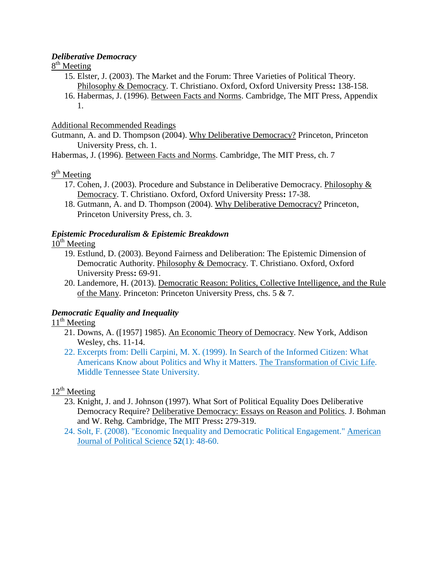#### *Deliberative Democracy*

### $8<sup>th</sup>$  Meeting

15. Elster, J. (2003). The Market and the Forum: Three Varieties of Political Theory. Philosophy & Democracy. T. Christiano. Oxford, Oxford University Press**:** 138-158. 16. Habermas, J. (1996). Between Facts and Norms. Cambridge, The MIT Press, Appendix 1.

### Additional Recommended Readings

Gutmann, A. and D. Thompson (2004). Why Deliberative Democracy? Princeton, Princeton University Press, ch. 1.

Habermas, J. (1996). Between Facts and Norms. Cambridge, The MIT Press, ch. 7

# $9<sup>th</sup>$  Meeting

- 17. Cohen, J. (2003). Procedure and Substance in Deliberative Democracy. Philosophy & Democracy. T. Christiano. Oxford, Oxford University Press**:** 17-38.
- 18. Gutmann, A. and D. Thompson (2004). Why Deliberative Democracy? Princeton, Princeton University Press, ch. 3.

### *Epistemic Proceduralism & Epistemic Breakdown*

## $10^{th}$  Meeting

- 19. Estlund, D. (2003). Beyond Fairness and Deliberation: The Epistemic Dimension of Democratic Authority. Philosophy & Democracy. T. Christiano. Oxford, Oxford University Press**:** 69-91.
- 20. Landemore, H. (2013). Democratic Reason: Politics, Collective Intelligence, and the Rule of the Many. Princeton: Princeton University Press, chs. 5 & 7.

## *Democratic Equality and Inequality*

## $11<sup>th</sup>$  Meeting

- 21. Downs, A. ([1957] 1985). An Economic Theory of Democracy. New York, Addison Wesley, chs. 11-14.
- 22. Excerpts from: Delli Carpini, M. X. (1999). In Search of the Informed Citizen: What Americans Know about Politics and Why it Matters. The Transformation of Civic Life. Middle Tennessee State University.

## $12^{th}$  Meeting

- 23. Knight, J. and J. Johnson (1997). What Sort of Political Equality Does Deliberative Democracy Require? Deliberative Democracy: Essays on Reason and Politics. J. Bohman and W. Rehg. Cambridge, The MIT Press**:** 279-319.
- 24. Solt, F. (2008). "Economic Inequality and Democratic Political Engagement." American Journal of Political Science **52**(1): 48-60.